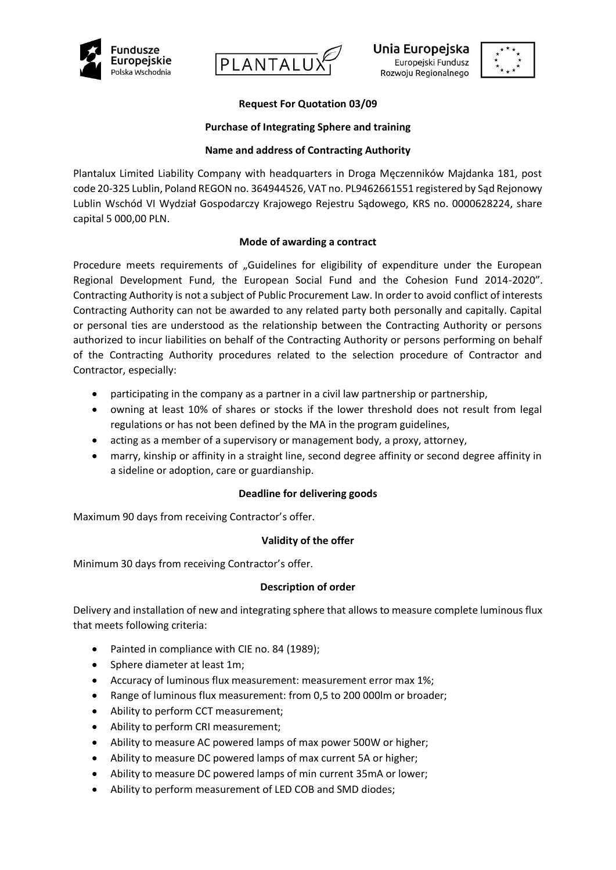





# **Request For Quotation 03/09**

### **Purchase of Integrating Sphere and training**

### **Name and address of Contracting Authority**

Plantalux Limited Liability Company with headquarters in Droga Męczenników Majdanka 181, post code 20-325 Lublin, Poland REGON no. 364944526, VAT no. PL9462661551 registered by Sąd Rejonowy Lublin Wschód VI Wydział Gospodarczy Krajowego Rejestru Sądowego, KRS no. 0000628224, share capital 5 000,00 PLN.

## **Mode of awarding a contract**

Procedure meets requirements of "Guidelines for eligibility of expenditure under the European Regional Development Fund, the European Social Fund and the Cohesion Fund 2014-2020". Contracting Authority is not a subject of Public Procurement Law. In order to avoid conflict of interests Contracting Authority can not be awarded to any related party both personally and capitally. Capital or personal ties are understood as the relationship between the Contracting Authority or persons authorized to incur liabilities on behalf of the Contracting Authority or persons performing on behalf of the Contracting Authority procedures related to the selection procedure of Contractor and Contractor, especially:

- participating in the company as a partner in a civil law partnership or partnership,
- owning at least 10% of shares or stocks if the lower threshold does not result from legal regulations or has not been defined by the MA in the program guidelines,
- acting as a member of a supervisory or management body, a proxy, attorney,
- marry, kinship or affinity in a straight line, second degree affinity or second degree affinity in a sideline or adoption, care or guardianship.

#### **Deadline for delivering goods**

Maximum 90 days from receiving Contractor's offer.

#### **Validity of the offer**

Minimum 30 days from receiving Contractor's offer.

#### **Description of order**

Delivery and installation of new and integrating sphere that allows to measure complete luminous flux that meets following criteria:

- Painted in compliance with CIE no. 84 (1989);
- Sphere diameter at least 1m;
- Accuracy of luminous flux measurement: measurement error max 1%;
- Range of luminous flux measurement: from 0,5 to 200 000lm or broader;
- Ability to perform CCT measurement;
- Ability to perform CRI measurement;
- Ability to measure AC powered lamps of max power 500W or higher;
- Ability to measure DC powered lamps of max current 5A or higher;
- Ability to measure DC powered lamps of min current 35mA or lower;
- Ability to perform measurement of LED COB and SMD diodes;